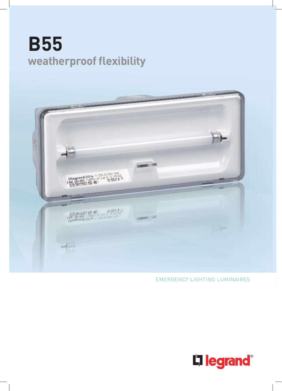# **B55 weatherproof flexibility**



### EMERGENCY LIGHTING LUMINAIRES

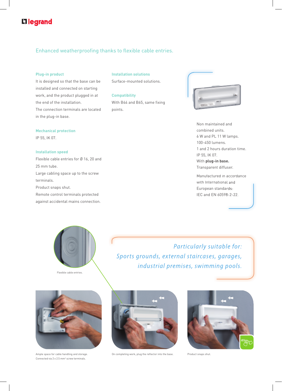## L<sub>legrand</sub>

### Enhanced weatherproofing thanks to flexible cable entries.

### **Plug-in product**

It is designed so that the base can be installed and connected on starting work, and the product plugged in at the end of the installation. The connection terminals are located in the plug-in base.

#### **Installation solutions**

Surface-mounted solutions.

**Compatibility** With B44 and B65, same fixing points.



Non maintained and combined units. 6 W and PL 11 W lamps. 100-450 lumens. 1 and 2 hours duration time. IP 55, IK 07. With **plug-in base.** Transparent diffuser.

Manufactured in accordance with International and European standards: IEC and EN 60598-2-22.



IP 55, IK 07.

#### **Installation speed**

Flexible cable entries for Ø 16, 20 and 25 mm tube. Large cabling space up to the screw terminals. Product snaps shut. Remote control terminals protected against accidental mains connection.



Flexible cable entries.





Connected via 2 x 2.5 mm2 screw terminals.



Ample space for cable handling and storage.  $\hbox{Dn}$  completing work, plug the reflector into the base.  $\hbox{Pnduct snaps shut}.$ 

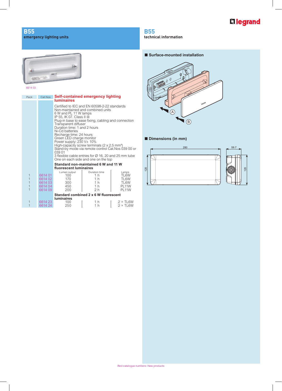# L'Ilegrand

### **B55 emergency lighting units**



6614 03

| Pack                                                         | Cat.Nos                                                        | Self-contained emergency lighting<br><b>luminaires</b>                                                                                                                                                                                                                                                                                                                                                                                                                                                                                                                                                                          |                                                                                              |                                                                           |
|--------------------------------------------------------------|----------------------------------------------------------------|---------------------------------------------------------------------------------------------------------------------------------------------------------------------------------------------------------------------------------------------------------------------------------------------------------------------------------------------------------------------------------------------------------------------------------------------------------------------------------------------------------------------------------------------------------------------------------------------------------------------------------|----------------------------------------------------------------------------------------------|---------------------------------------------------------------------------|
|                                                              |                                                                | Certified to IEC and EN 60598-2-22 standards<br>Non-maintained and combined units<br>6 W and PL 11 W lamps<br>IP 55, IK 07. Class II 回<br>Plug-in base to ease fixing, cabling and connection<br>Transparent diffuser<br>Duration time: 1 and 2 hours<br>Ni-Cd batteries<br>Recharge time: 24 hours<br>Green LED charge monitor<br>Power supply: $2\overline{3}0 \text{ V} \pm 10\%$<br>High-capacity screw terminals $(2 \times 2.5 \text{ mm}^2)$<br>Stand-by mode via remote control Cat. Nos 039 00 or<br>039 01<br>3 flexible cable entries for $\varnothing$ 16, 20 and 25 mm tube<br>One on each side and one on the top |                                                                                              |                                                                           |
|                                                              | Standard non-maintained 6 W and 11 W<br>fluorescent luminaires |                                                                                                                                                                                                                                                                                                                                                                                                                                                                                                                                                                                                                                 |                                                                                              |                                                                           |
| 1<br>$\overline{1}$<br>$\overline{1}$<br>$\overline{1}$<br>1 | 6614 01<br>6614 02<br>6614 03<br>6614 04<br>6614 09            | Lumen output<br>100<br>170<br>300<br>450<br>200                                                                                                                                                                                                                                                                                                                                                                                                                                                                                                                                                                                 | Duration time<br>1 <sub>h</sub><br>1 h<br>1 <sub>h</sub><br>1 <sub>h</sub><br>2 <sub>h</sub> | Lamps<br>TL6W<br>TL6W<br>TL6W<br>PL <sub>11</sub> W<br>PL <sub>11</sub> W |
|                                                              | Standard combined 2 x 6 W fluorescent<br><b>luminaires</b>     |                                                                                                                                                                                                                                                                                                                                                                                                                                                                                                                                                                                                                                 |                                                                                              |                                                                           |
| 1<br>$\overline{1}$                                          | 6614 23<br>6614 24                                             | 100<br>250                                                                                                                                                                                                                                                                                                                                                                                                                                                                                                                                                                                                                      | 1 h<br>1 h                                                                                   | $2 \times$ TL6W<br>$2 \times T$ L6W                                       |

### **B55**

**technical information**

### N **Surface-mounted installation**



### N **Dimensions (in mm)**